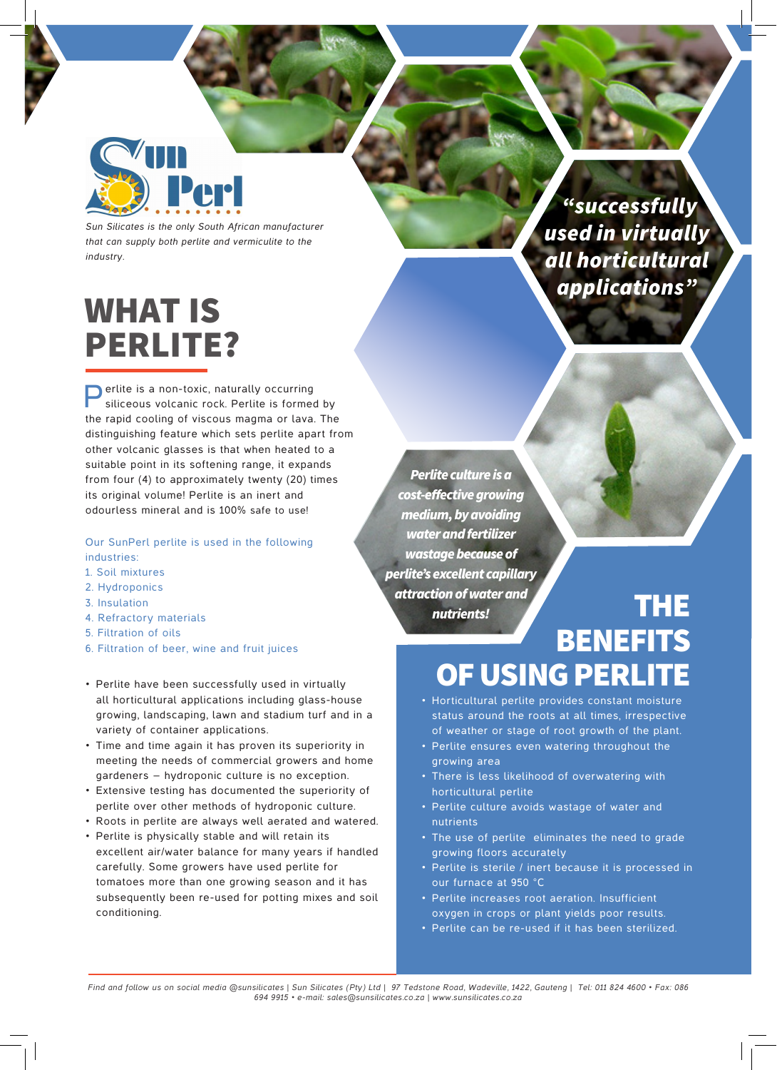

*Sun Silicates is the only South African manufacturer that can supply both perlite and vermiculite to the industry.*

### WHAT IS PERLITE?

**Perlite is a non-toxic, naturally occurring** siliceous volcanic rock. Perlite is formed by the rapid cooling of viscous magma or lava. The distinguishing feature which sets perlite apart from other volcanic glasses is that when heated to a suitable point in its softening range, it expands from four (4) to approximately twenty (20) times its original volume! Perlite is an inert and odourless mineral and is 100% safe to use!

Our SunPerl perlite is used in the following industries:

- 1. Soil mixtures
- 2. Hydroponics
- 3. Insulation
- 4. Refractory materials
- 5. Filtration of oils
- 6. Filtration of beer, wine and fruit juices
- Perlite have been successfully used in virtually all horticultural applications including glass-house growing, landscaping, lawn and stadium turf and in a variety of container applications.
- • Time and time again it has proven its superiority in meeting the needs of commercial growers and home gardeners – hydroponic culture is no exception.
- • Extensive testing has documented the superiority of perlite over other methods of hydroponic culture.
- • Roots in perlite are always well aerated and watered.
- • Perlite is physically stable and will retain its excellent air/water balance for many years if handled carefully. Some growers have used perlite for tomatoes more than one growing season and it has subsequently been re-used for potting mixes and soil conditioning.

*Perlite culture is a*  cost-effective growing medium, by avoiding water and fertilizer wastage because of *perlite's excellent capillary*  attraction of water and *nutrients!* THE

# **BENEFITS** OF USING PERLITE

- Horticultural perlite provides constant moisture status around the roots at all times, irrespective of weather or stage of root growth of the plant.
- Perlite ensures even watering throughout the growing area
- There is less likelihood of overwatering with horticultural perlite
- • Perlite culture avoids wastage of water and nutrients
- The use of perlite eliminates the need to grade growing floors accurately
- Perlite is sterile / inert because it is processed in our furnace at 950 °C
- • Perlite increases root aeration. Insufficient oxygen in crops or plant yields poor results.
- Perlite can be re-used if it has been sterilized.

*Find and follow us on social media @sunsilicates | Sun Silicates (Pty) Ltd | 97 Tedstone Road, Wadeville, 1422, Gauteng | Tel: 011 824 4600 • Fax: 086 694 9915 • e-mail: sales@sunsilicates.co.za | www.sunsilicates.co.za*

### *"successfully used in virtually all horticultural applications"*